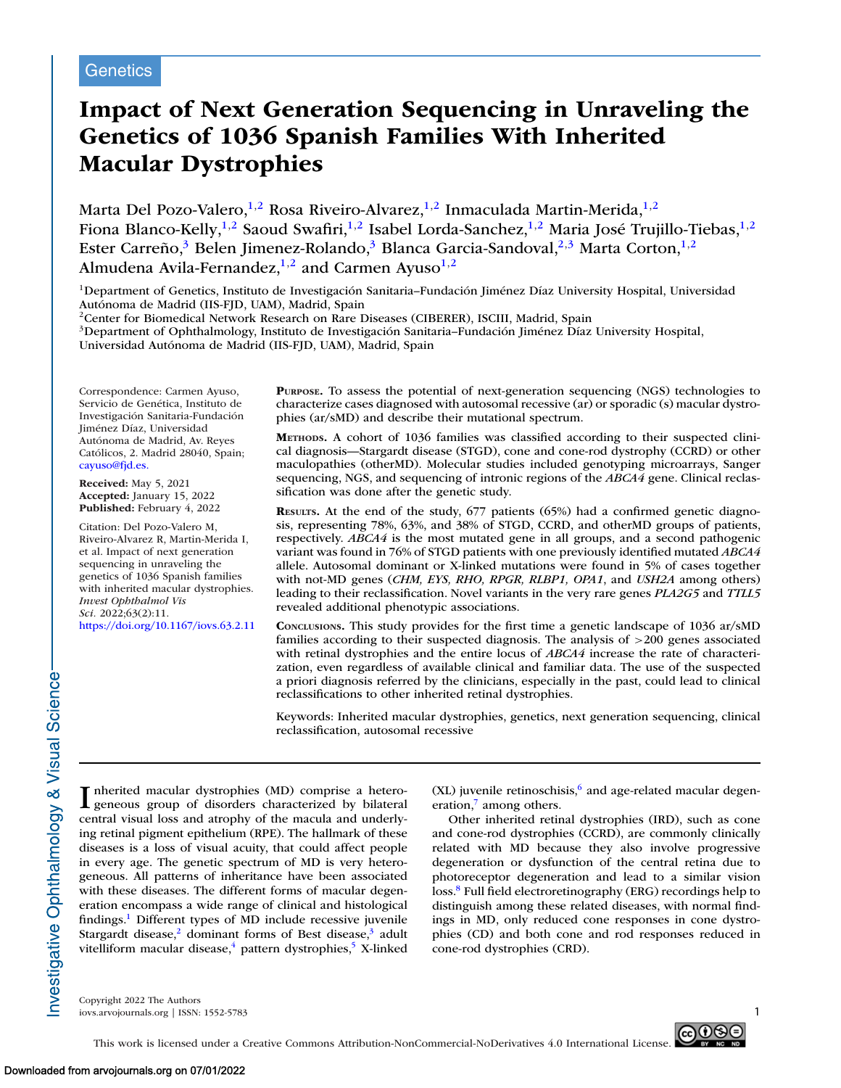# **Impact of Next Generation Sequencing in Unraveling the Genetics of 1036 Spanish Families With Inherited Macular Dystrophies**

Marta Del Pozo-Valero,<sup>1,2</sup> Rosa Riveiro-Alvarez,<sup>1,2</sup> Inmaculada Martin-Merida,<sup>1,2</sup> Fiona Blanco-Kelly,<sup>1,2</sup> Saoud Swafiri,<sup>1,2</sup> Isabel Lorda-Sanchez,<sup>1,2</sup> Maria José Trujillo-Tiebas,<sup>1,2</sup> Ester Carreño,<sup>3</sup> Belen Jimenez-Rolando,<sup>3</sup> Blanca Garcia-Sandoval,<sup>2,3</sup> Marta Corton,<sup>1,2</sup> Almudena Avila-Fernandez,<sup>1,2</sup> and Carmen Ayuso<sup>1,2</sup>

<sup>1</sup>Department of Genetics, Instituto de Investigación Sanitaria–Fundación Jiménez Díaz University Hospital, Universidad Autónoma de Madrid (IIS-FJD, UAM), Madrid, Spain

<sup>2</sup>Center for Biomedical Network Research on Rare Diseases (CIBERER), ISCIII, Madrid, Spain

3Department of Ophthalmology, Instituto de Investigación Sanitaria–Fundación Jiménez Díaz University Hospital,

Universidad Autónoma de Madrid (IIS-FJD, UAM), Madrid, Spain

Correspondence: Carmen Ayuso, Servicio de Genética, Instituto de Investigación Sanitaria-Fundación Jiménez Díaz, Universidad Autónoma de Madrid, Av. Reyes Católicos, 2. Madrid 28040, Spain; [cayuso@fjd.es.](mailto:cayuso@fjd.es.)

**Received:** May 5, 2021 **Accepted:** January 15, 2022 **Published:** February 4, 2022

Citation: Del Pozo-Valero M, Riveiro-Alvarez R, Martin-Merida I, et al. Impact of next generation sequencing in unraveling the genetics of 1036 Spanish families with inherited macular dystrophies. *Invest Ophthalmol Vis Sci.* 2022;63(2):11.

<https://doi.org/10.1167/iovs.63.2.11>

**PURPOSE.** To assess the potential of next-generation sequencing (NGS) technologies to characterize cases diagnosed with autosomal recessive (ar) or sporadic (s) macular dystrophies (ar/sMD) and describe their mutational spectrum.

**METHODS.** A cohort of 1036 families was classified according to their suspected clinical diagnosis—Stargardt disease (STGD), cone and cone-rod dystrophy (CCRD) or other maculopathies (otherMD). Molecular studies included genotyping microarrays, Sanger sequencing, NGS, and sequencing of intronic regions of the *ABCA4* gene. Clinical reclassification was done after the genetic study.

**RESULTS.** At the end of the study, 677 patients (65%) had a confirmed genetic diagnosis, representing 78%, 63%, and 38% of STGD, CCRD, and otherMD groups of patients, respectively. *ABCA4* is the most mutated gene in all groups, and a second pathogenic variant was found in 76% of STGD patients with one previously identified mutated *ABCA4* allele. Autosomal dominant or X-linked mutations were found in 5% of cases together with not-MD genes (*CHM, EYS, RHO, RPGR, RLBP1, OPA1*, and *USH2A* among others) leading to their reclassification. Novel variants in the very rare genes *PLA2G5* and *TTLL5* revealed additional phenotypic associations.

**CONCLUSIONS.** This study provides for the first time a genetic landscape of 1036 ar/sMD families according to their suspected diagnosis. The analysis of >200 genes associated with retinal dystrophies and the entire locus of *ABCA4* increase the rate of characterization, even regardless of available clinical and familiar data. The use of the suspected a priori diagnosis referred by the clinicians, especially in the past, could lead to clinical reclassifications to other inherited retinal dystrophies.

Keywords: Inherited macular dystrophies, genetics, next generation sequencing, clinical reclassification, autosomal recessive

nvestigative Ophthalmology & Visual Science

I nherited macular dystrophies (MD) comprise a hetero-geneous group of disorders characterized by bilateral central visual loss and atrophy of the macula and underlying retinal pigment epithelium (RPE). The hallmark of these diseases is a loss of visual acuity, that could affect people in every age. The genetic spectrum of MD is very heterogeneous. All patterns of inheritance have been associated with these diseases. The different forms of macular degeneration encompass a wide range of clinical and histological findings[.1](#page-7-0) Different types of MD include recessive juvenile Stargardt disease, $\frac{2}{3}$  dominant forms of Best disease, $\frac{3}{3}$  adult vitelliform macular disease, $\frac{4}{3}$  pattern dystrophies, $\frac{5}{3}$  X-linked

 $(XL)$  juvenile retinoschisis, $6$  and age-related macular degeneration, $\frac{7}{2}$  among others.

Other inherited retinal dystrophies (IRD), such as cone and cone-rod dystrophies (CCRD), are commonly clinically related with MD because they also involve progressive degeneration or dysfunction of the central retina due to photoreceptor degeneration and lead to a similar vision loss.<sup>8</sup> Full field electroretinography (ERG) recordings help to distinguish among these related diseases, with normal findings in MD, only reduced cone responses in cone dystrophies (CD) and both cone and rod responses reduced in cone-rod dystrophies (CRD).

Copyright 2022 The Authors iovs.arvojournals.org | ISSN: 1552-5783 1

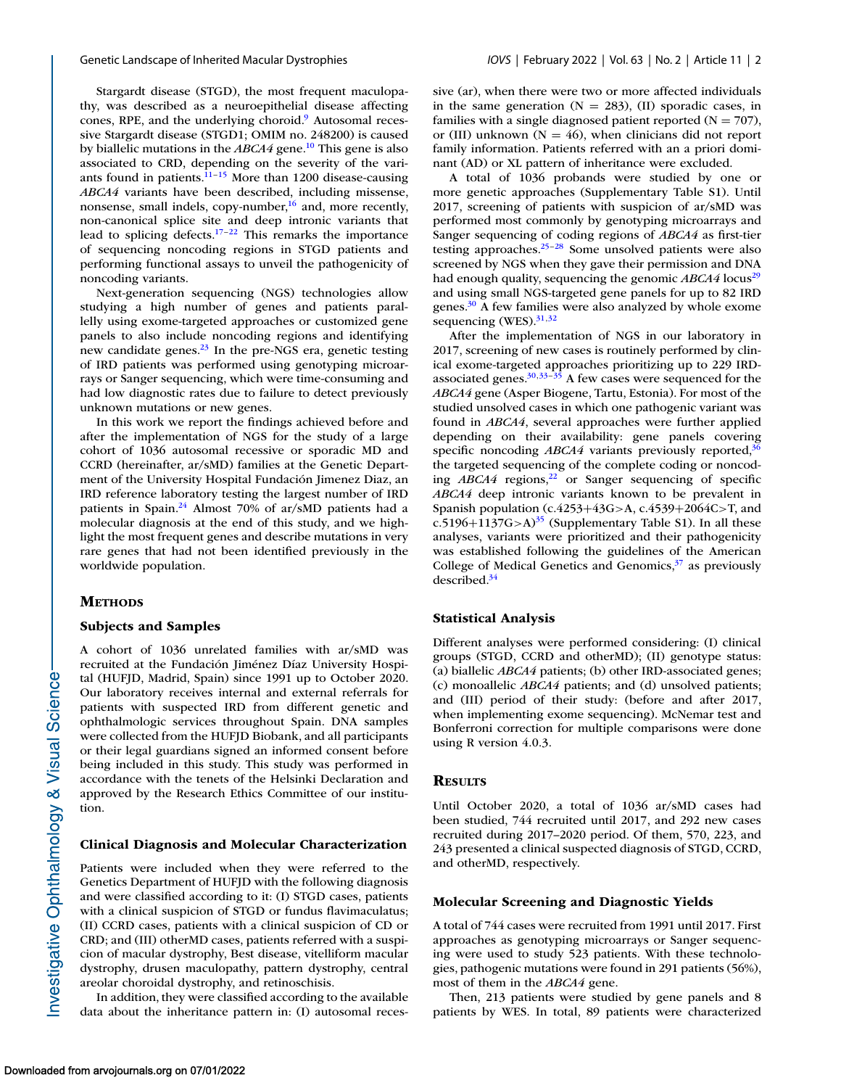Stargardt disease (STGD), the most frequent maculopathy, was described as a neuroepithelial disease affecting cones, RPE, and the underlying choroid.<sup>9</sup> Autosomal recessive Stargardt disease (STGD1; OMIM no. 248200) is caused by biallelic mutations in the *ABCA4* gene[.10](#page-7-0) This gene is also associated to CRD, depending on the severity of the variants found in patients. $11-15$  More than 1200 disease-causing *ABCA4* variants have been described, including missense, nonsense, small indels, copy-number, $\frac{16}{16}$  and, more recently, non-canonical splice site and deep intronic variants that lead to splicing defects. $17-22$  This remarks the importance of sequencing noncoding regions in STGD patients and performing functional assays to unveil the pathogenicity of noncoding variants.

Next-generation sequencing (NGS) technologies allow studying a high number of genes and patients parallelly using exome-targeted approaches or customized gene panels to also include noncoding regions and identifying new candidate genes.<sup>23</sup> In the pre-NGS era, genetic testing of IRD patients was performed using genotyping microarrays or Sanger sequencing, which were time-consuming and had low diagnostic rates due to failure to detect previously unknown mutations or new genes.

In this work we report the findings achieved before and after the implementation of NGS for the study of a large cohort of 1036 autosomal recessive or sporadic MD and CCRD (hereinafter, ar/sMD) families at the Genetic Department of the University Hospital Fundación Jimenez Diaz, an IRD reference laboratory testing the largest number of IRD patients in Spain[.24](#page-7-0) Almost 70% of ar/sMD patients had a molecular diagnosis at the end of this study, and we highlight the most frequent genes and describe mutations in very rare genes that had not been identified previously in the worldwide population.

## **METHODS**

## **Subjects and Samples**

A cohort of 1036 unrelated families with ar/sMD was recruited at the Fundación Jiménez Díaz University Hospital (HUFJD, Madrid, Spain) since 1991 up to October 2020. Our laboratory receives internal and external referrals for patients with suspected IRD from different genetic and ophthalmologic services throughout Spain. DNA samples were collected from the HUFJD Biobank, and all participants or their legal guardians signed an informed consent before being included in this study. This study was performed in accordance with the tenets of the Helsinki Declaration and approved by the Research Ethics Committee of our institution.

# **Clinical Diagnosis and Molecular Characterization**

Patients were included when they were referred to the Genetics Department of HUFJD with the following diagnosis and were classified according to it: (I) STGD cases, patients with a clinical suspicion of STGD or fundus flavimaculatus; (II) CCRD cases, patients with a clinical suspicion of CD or CRD; and (III) otherMD cases, patients referred with a suspicion of macular dystrophy, Best disease, vitelliform macular dystrophy, drusen maculopathy, pattern dystrophy, central areolar choroidal dystrophy, and retinoschisis.

In addition, they were classified according to the available data about the inheritance pattern in: (I) autosomal recessive (ar), when there were two or more affected individuals in the same generation  $(N = 283)$ ,  $(II)$  sporadic cases, in families with a single diagnosed patient reported  $(N = 707)$ , or (III) unknown ( $N = 46$ ), when clinicians did not report family information. Patients referred with an a priori dominant (AD) or XL pattern of inheritance were excluded.

A total of 1036 probands were studied by one or more genetic approaches (Supplementary Table S1). Until 2017, screening of patients with suspicion of ar/sMD was performed most commonly by genotyping microarrays and Sanger sequencing of coding regions of *ABCA4* as first-tier testing approaches[.25–28](#page-7-0) Some unsolved patients were also screened by NGS when they gave their permission and DNA had enough quality, sequencing the genomic *ABCA4* locus<sup>29</sup> and using small NGS-targeted gene panels for up to 82 IRD genes[.30](#page-7-0) A few families were also analyzed by whole exome sequencing  $(WES).$ <sup>31,32</sup>

After the implementation of NGS in our laboratory in 2017, screening of new cases is routinely performed by clinical exome-targeted approaches prioritizing up to 229 IRDassociated genes. $30,33-35$  A few cases were sequenced for the *ABCA4* gene (Asper Biogene, Tartu, Estonia). For most of the studied unsolved cases in which one pathogenic variant was found in *ABCA4*, several approaches were further applied depending on their availability: gene panels covering specific noncoding *ABCA4* variants previously reported,<sup>36</sup> the targeted sequencing of the complete coding or noncoding *ABCA4* regions,<sup>22</sup> or Sanger sequencing of specific *ABCA4* deep intronic variants known to be prevalent in Spanish population (c.4253+43G>A, c.4539+2064C>T, and c.5196+1137G>A)<sup>[35](#page-7-0)</sup> (Supplementary Table S1). In all these analyses, variants were prioritized and their pathogenicity was established following the guidelines of the American College of Medical Genetics and Genomics, $37$  as previously described[.34](#page-7-0)

## **Statistical Analysis**

Different analyses were performed considering: (I) clinical groups (STGD, CCRD and otherMD); (II) genotype status: (a) biallelic *ABCA4* patients; (b) other IRD-associated genes; (c) monoallelic *ABCA4* patients; and (d) unsolved patients; and (III) period of their study: (before and after 2017, when implementing exome sequencing). McNemar test and Bonferroni correction for multiple comparisons were done using R version 4.0.3.

#### **RESULTS**

Until October 2020, a total of 1036 ar/sMD cases had been studied, 744 recruited until 2017, and 292 new cases recruited during 2017–2020 period. Of them, 570, 223, and 243 presented a clinical suspected diagnosis of STGD, CCRD, and otherMD, respectively.

## **Molecular Screening and Diagnostic Yields**

A total of 744 cases were recruited from 1991 until 2017. First approaches as genotyping microarrays or Sanger sequencing were used to study 523 patients. With these technologies, pathogenic mutations were found in 291 patients (56%), most of them in the *ABCA4* gene.

Then, 213 patients were studied by gene panels and 8 patients by WES. In total, 89 patients were characterized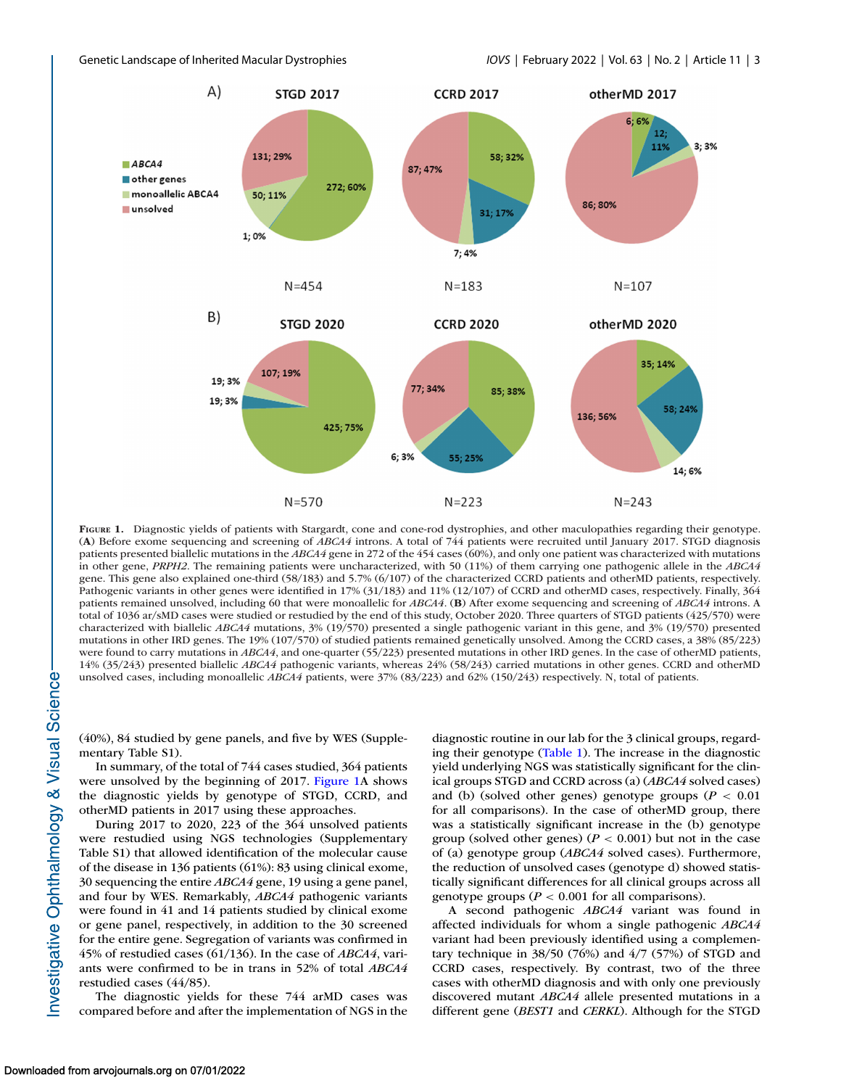<span id="page-2-0"></span>



**FIGURE 1.** Diagnostic yields of patients with Stargardt, cone and cone-rod dystrophies, and other maculopathies regarding their genotype. (**A**) Before exome sequencing and screening of *ABCA4* introns. A total of 744 patients were recruited until January 2017. STGD diagnosis patients presented biallelic mutations in the *ABCA4* gene in 272 of the 454 cases (60%), and only one patient was characterized with mutations in other gene, *PRPH2*. The remaining patients were uncharacterized, with 50 (11%) of them carrying one pathogenic allele in the *ABCA4* gene. This gene also explained one-third (58/183) and 5.7% (6/107) of the characterized CCRD patients and otherMD patients, respectively. Pathogenic variants in other genes were identified in 17% (31/183) and 11% (12/107) of CCRD and otherMD cases, respectively. Finally, 364 patients remained unsolved, including 60 that were monoallelic for *ABCA4*. (**B**) After exome sequencing and screening of *ABCA4* introns. A total of 1036 ar/sMD cases were studied or restudied by the end of this study, October 2020. Three quarters of STGD patients (425/570) were characterized with biallelic *ABCA4* mutations, 3% (19/570) presented a single pathogenic variant in this gene, and 3% (19/570) presented mutations in other IRD genes. The 19% (107/570) of studied patients remained genetically unsolved. Among the CCRD cases, a 38% (85/223) were found to carry mutations in *ABCA4*, and one-quarter (55/223) presented mutations in other IRD genes. In the case of otherMD patients, 14% (35/243) presented biallelic *ABCA4* pathogenic variants, whereas 24% (58/243) carried mutations in other genes. CCRD and otherMD unsolved cases, including monoallelic *ABCA4* patients, were 37% (83/223) and 62% (150/243) respectively. N, total of patients.

(40%), 84 studied by gene panels, and five by WES (Supplementary Table S1).

In summary, of the total of 744 cases studied, 364 patients were unsolved by the beginning of 2017. Figure 1A shows the diagnostic yields by genotype of STGD, CCRD, and otherMD patients in 2017 using these approaches.

During 2017 to 2020, 223 of the 364 unsolved patients were restudied using NGS technologies (Supplementary Table S1) that allowed identification of the molecular cause of the disease in 136 patients (61%): 83 using clinical exome, 30 sequencing the entire *ABCA4* gene, 19 using a gene panel, and four by WES. Remarkably, *ABCA4* pathogenic variants were found in 41 and 14 patients studied by clinical exome or gene panel, respectively, in addition to the 30 screened for the entire gene. Segregation of variants was confirmed in 45% of restudied cases (61/136). In the case of *ABCA4*, variants were confirmed to be in trans in 52% of total *ABCA4* restudied cases (44/85).

The diagnostic yields for these 744 arMD cases was compared before and after the implementation of NGS in the diagnostic routine in our lab for the 3 clinical groups, regarding their genotype [\(Table 1\)](#page-3-0). The increase in the diagnostic yield underlying NGS was statistically significant for the clinical groups STGD and CCRD across (a) (*ABCA4* solved cases) and (b) (solved other genes) genotype groups ( $P < 0.01$ ) for all comparisons). In the case of otherMD group, there was a statistically significant increase in the (b) genotype group (solved other genes) ( $P < 0.001$ ) but not in the case of (a) genotype group (*ABCA4* solved cases). Furthermore, the reduction of unsolved cases (genotype d) showed statistically significant differences for all clinical groups across all genotype groups ( $P < 0.001$  for all comparisons).

A second pathogenic *ABCA4* variant was found in affected individuals for whom a single pathogenic *ABCA4* variant had been previously identified using a complementary technique in  $38/50$  (76%) and  $4/7$  (57%) of STGD and CCRD cases, respectively. By contrast, two of the three cases with otherMD diagnosis and with only one previously discovered mutant *ABCA4* allele presented mutations in a different gene (*BEST1* and *CERKL*). Although for the STGD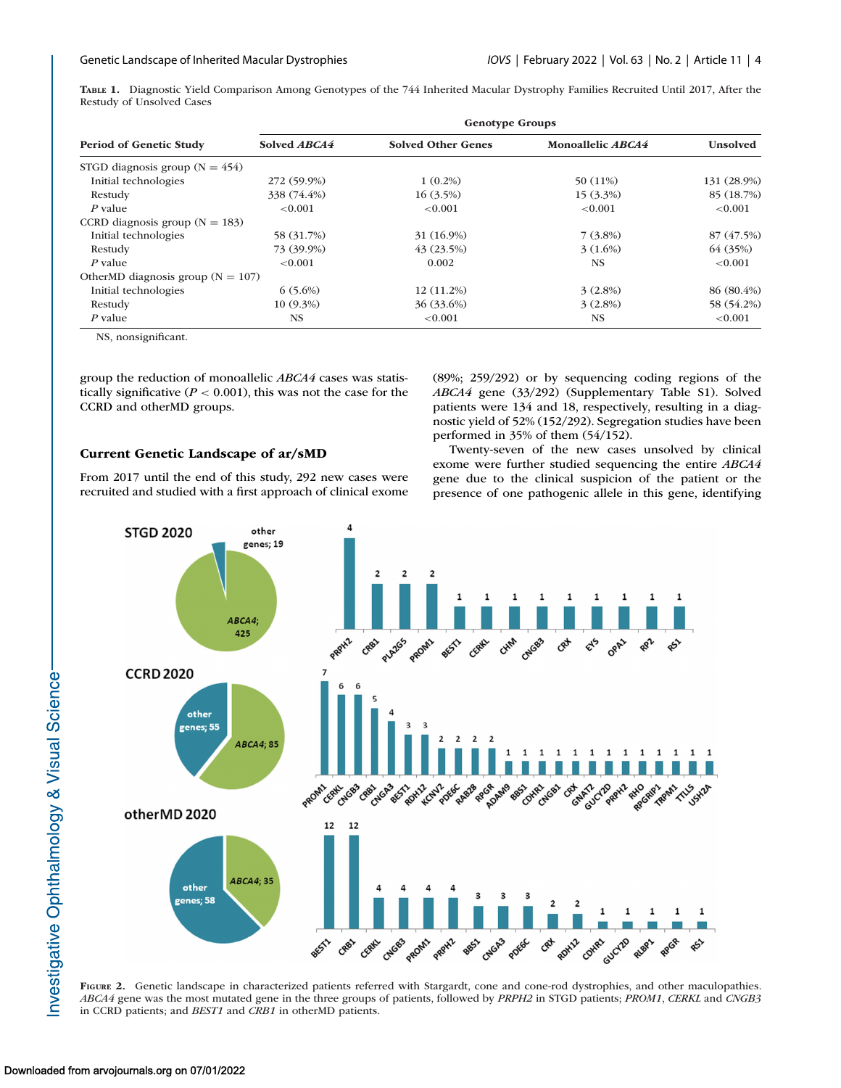<span id="page-3-0"></span>**TABLE 1.** Diagnostic Yield Comparison Among Genotypes of the 744 Inherited Macular Dystrophy Families Recruited Until 2017, After the Restudy of Unsolved Cases

| <b>Period of Genetic Study</b>        | <b>Genotype Groups</b> |                           |                          |                 |  |
|---------------------------------------|------------------------|---------------------------|--------------------------|-----------------|--|
|                                       | Solved ABCA4           | <b>Solved Other Genes</b> | Monoallelic <i>ABCA4</i> | <b>Unsolved</b> |  |
| STGD diagnosis group ( $N = 454$ )    |                        |                           |                          |                 |  |
| Initial technologies                  | 272 (59.9%)            | $1(0.2\%)$                | 50 (11%)                 | 131 (28.9%)     |  |
| Restudy                               | 338 (74.4%)            | $16(3.5\%)$               | $15(3.3\%)$              | 85 (18.7%)      |  |
| P value                               | < 0.001                | < 0.001                   | < 0.001                  | < 0.001         |  |
| CCRD diagnosis group ( $N = 183$ )    |                        |                           |                          |                 |  |
| Initial technologies                  | 58 (31.7%)             | 31 (16.9%)                | $7(3.8\%)$               | 87 (47.5%)      |  |
| Restudy                               | 73 (39.9%)             | 43(23.5%)                 | $3(1.6\%)$               | 64 (35%)        |  |
| P value                               | < 0.001                | 0.002                     | <b>NS</b>                | < 0.001         |  |
| OtherMD diagnosis group ( $N = 107$ ) |                        |                           |                          |                 |  |
| Initial technologies                  | $6(5.6\%)$             | 12 (11.2%)                | $3(2.8\%)$               | $86(80.4\%)$    |  |
| Restudy                               | $10(9.3\%)$            | 36 (33.6%)                | $3(2.8\%)$               | 58 (54.2%)      |  |
| $P$ value                             | NS.                    | ${<}0.001$                | <b>NS</b>                | < 0.001         |  |

NS, nonsignificant.

group the reduction of monoallelic *ABCA4* cases was statistically significative (*P* < 0.001), this was not the case for the CCRD and otherMD groups.

# **Current Genetic Landscape of ar/sMD**

From 2017 until the end of this study, 292 new cases were recruited and studied with a first approach of clinical exome (89%; 259/292) or by sequencing coding regions of the *ABCA4* gene (33/292) (Supplementary Table S1). Solved patients were 134 and 18, respectively, resulting in a diagnostic yield of 52% (152/292). Segregation studies have been performed in 35% of them (54/152).

Twenty-seven of the new cases unsolved by clinical exome were further studied sequencing the entire *ABCA4* gene due to the clinical suspicion of the patient or the presence of one pathogenic allele in this gene, identifying



**FIGURE 2.** Genetic landscape in characterized patients referred with Stargardt, cone and cone-rod dystrophies, and other maculopathies. *ABCA4* gene was the most mutated gene in the three groups of patients, followed by *PRPH2* in STGD patients; *PROM1*, *CERKL* and *CNGB3* in CCRD patients; and *BEST1* and *CRB1* in otherMD patients.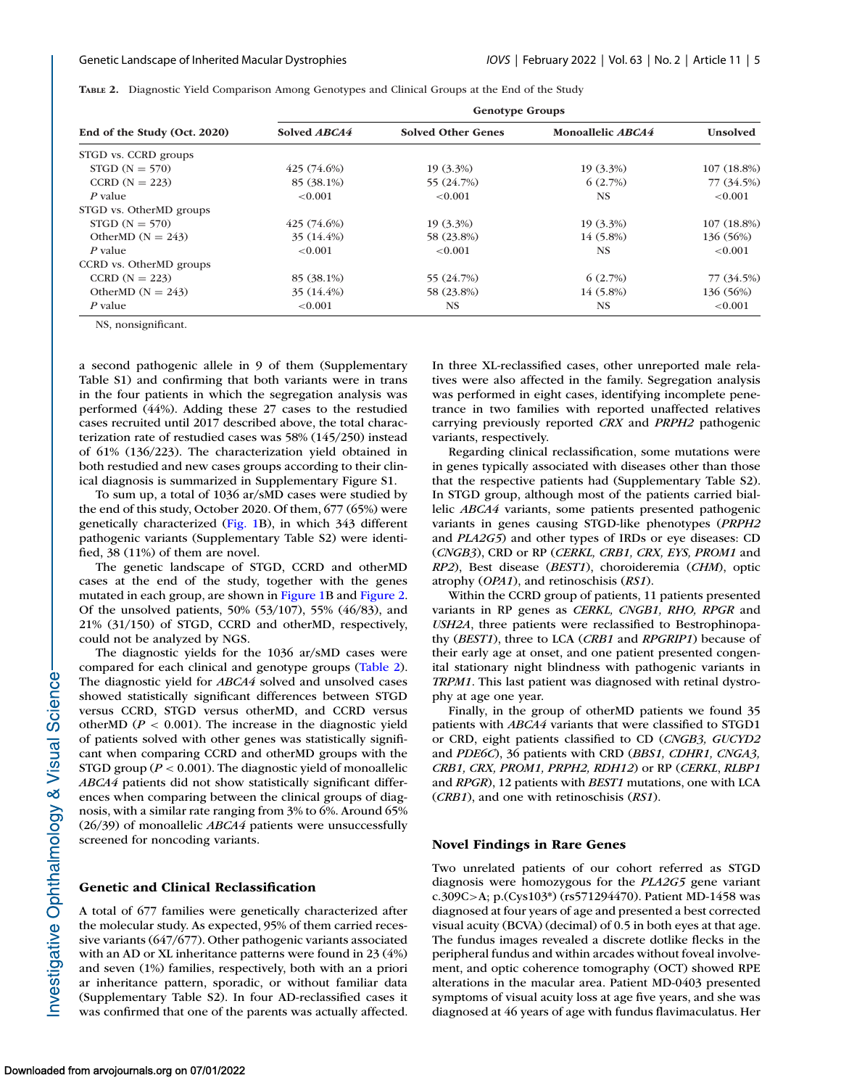**TABLE 2.** Diagnostic Yield Comparison Among Genotypes and Clinical Groups at the End of the Study

| End of the Study (Oct. 2020) | <b>Genotype Groups</b> |                           |                   |                 |  |
|------------------------------|------------------------|---------------------------|-------------------|-----------------|--|
|                              | Solved ABCA4           | <b>Solved Other Genes</b> | Monoallelic ABCA4 | <b>Unsolved</b> |  |
| STGD vs. CCRD groups         |                        |                           |                   |                 |  |
| $STGD(N = 570)$              | 425(74.6%)             | $19(3.3\%)$               | $19(3.3\%)$       | 107(18.8%)      |  |
| CCRD $(N = 223)$             | 85 (38.1%)             | 55 (24.7%)                | 6(2.7%)           | 77 (34.5%)      |  |
| P value                      | < 0.001                | < 0.001                   | NS.               | < 0.001         |  |
| STGD vs. OtherMD groups      |                        |                           |                   |                 |  |
| $STGD(N = 570)$              | 425(74.6%)             | $19(3.3\%)$               | $19(3.3\%)$       | 107(18.8%)      |  |
| OtherMD $(N = 243)$          | $35(14.4\%)$           | 58 (23.8%)                | $14(5.8\%)$       | 136 (56%)       |  |
| $P$ value                    | < 0.001                | < 0.001                   | NS.               | < 0.001         |  |
| CCRD vs. OtherMD groups      |                        |                           |                   |                 |  |
| CCRD $(N = 223)$             | 85 (38.1%)             | 55 (24.7%)                | 6(2.7%)           | 77 (34.5%)      |  |
| OtherMD $(N = 243)$          | 35 (14.4%)             | 58 (23.8%)                | 14 (5.8%)         | 136 (56%)       |  |
| $P$ value                    | < 0.001                | <b>NS</b>                 | <b>NS</b>         | < 0.001         |  |

NS, nonsignificant.

a second pathogenic allele in 9 of them (Supplementary Table S1) and confirming that both variants were in trans in the four patients in which the segregation analysis was performed (44%). Adding these 27 cases to the restudied cases recruited until 2017 described above, the total characterization rate of restudied cases was 58% (145/250) instead of 61% (136/223). The characterization yield obtained in both restudied and new cases groups according to their clinical diagnosis is summarized in Supplementary Figure S1.

To sum up, a total of 1036 ar/sMD cases were studied by the end of this study, October 2020. Of them, 677 (65%) were genetically characterized [\(Fig. 1B](#page-2-0)), in which 343 different pathogenic variants (Supplementary Table S2) were identified, 38 (11%) of them are novel.

The genetic landscape of STGD, CCRD and otherMD cases at the end of the study, together with the genes mutated in each group, are shown in [Figure 1B](#page-2-0) and [Figure 2.](#page-3-0) Of the unsolved patients, 50% (53/107), 55% (46/83), and 21% (31/150) of STGD, CCRD and otherMD, respectively, could not be analyzed by NGS.

The diagnostic yields for the 1036 ar/sMD cases were compared for each clinical and genotype groups (Table 2). The diagnostic yield for *ABCA4* solved and unsolved cases showed statistically significant differences between STGD versus CCRD, STGD versus otherMD, and CCRD versus otherMD ( $P < 0.001$ ). The increase in the diagnostic yield of patients solved with other genes was statistically significant when comparing CCRD and otherMD groups with the STGD group ( $P < 0.001$ ). The diagnostic yield of monoallelic *ABCA4* patients did not show statistically significant differences when comparing between the clinical groups of diagnosis, with a similar rate ranging from 3% to 6%. Around 65% (26/39) of monoallelic *ABCA4* patients were unsuccessfully screened for noncoding variants.

## **Genetic and Clinical Reclassification**

A total of 677 families were genetically characterized after the molecular study. As expected, 95% of them carried recessive variants (647/677). Other pathogenic variants associated with an AD or XL inheritance patterns were found in 23 (4%) and seven (1%) families, respectively, both with an a priori ar inheritance pattern, sporadic, or without familiar data (Supplementary Table S2). In four AD-reclassified cases it was confirmed that one of the parents was actually affected. In three XL-reclassified cases, other unreported male relatives were also affected in the family. Segregation analysis was performed in eight cases, identifying incomplete penetrance in two families with reported unaffected relatives carrying previously reported *CRX* and *PRPH2* pathogenic variants, respectively.

Regarding clinical reclassification, some mutations were in genes typically associated with diseases other than those that the respective patients had (Supplementary Table S2). In STGD group, although most of the patients carried biallelic *ABCA4* variants, some patients presented pathogenic variants in genes causing STGD-like phenotypes (*PRPH2* and *PLA2G5*) and other types of IRDs or eye diseases: CD (*CNGB3*), CRD or RP (*CERKL, CRB1, CRX, EYS, PROM1* and *RP2*), Best disease (*BEST1*), choroideremia (*CHM*), optic atrophy (*OPA1*), and retinoschisis (*RS1*).

Within the CCRD group of patients, 11 patients presented variants in RP genes as *CERKL, CNGB1, RHO, RPGR* and *USH2A*, three patients were reclassified to Bestrophinopathy (*BEST1*), three to LCA (*CRB1* and *RPGRIP1*) because of their early age at onset, and one patient presented congenital stationary night blindness with pathogenic variants in *TRPM1*. This last patient was diagnosed with retinal dystrophy at age one year.

Finally, in the group of otherMD patients we found 35 patients with *ABCA4* variants that were classified to STGD1 or CRD, eight patients classified to CD (*CNGB3, GUCYD2* and *PDE6C*), 36 patients with CRD (*BBS1, CDHR1, CNGA3, CRB1, CRX, PROM1, PRPH2, RDH12*) or RP (*CERKL*, *RLBP1* and *RPGR*), 12 patients with *BEST1* mutations, one with LCA (*CRB1*), and one with retinoschisis (*RS1*).

## **Novel Findings in Rare Genes**

Two unrelated patients of our cohort referred as STGD diagnosis were homozygous for the *PLA2G5* gene variant c.309C>A; p.(Cys103\*) (rs571294470). Patient MD-1458 was diagnosed at four years of age and presented a best corrected visual acuity (BCVA) (decimal) of 0.5 in both eyes at that age. The fundus images revealed a discrete dotlike flecks in the peripheral fundus and within arcades without foveal involvement, and optic coherence tomography (OCT) showed RPE alterations in the macular area. Patient MD-0403 presented symptoms of visual acuity loss at age five years, and she was diagnosed at 46 years of age with fundus flavimaculatus. Her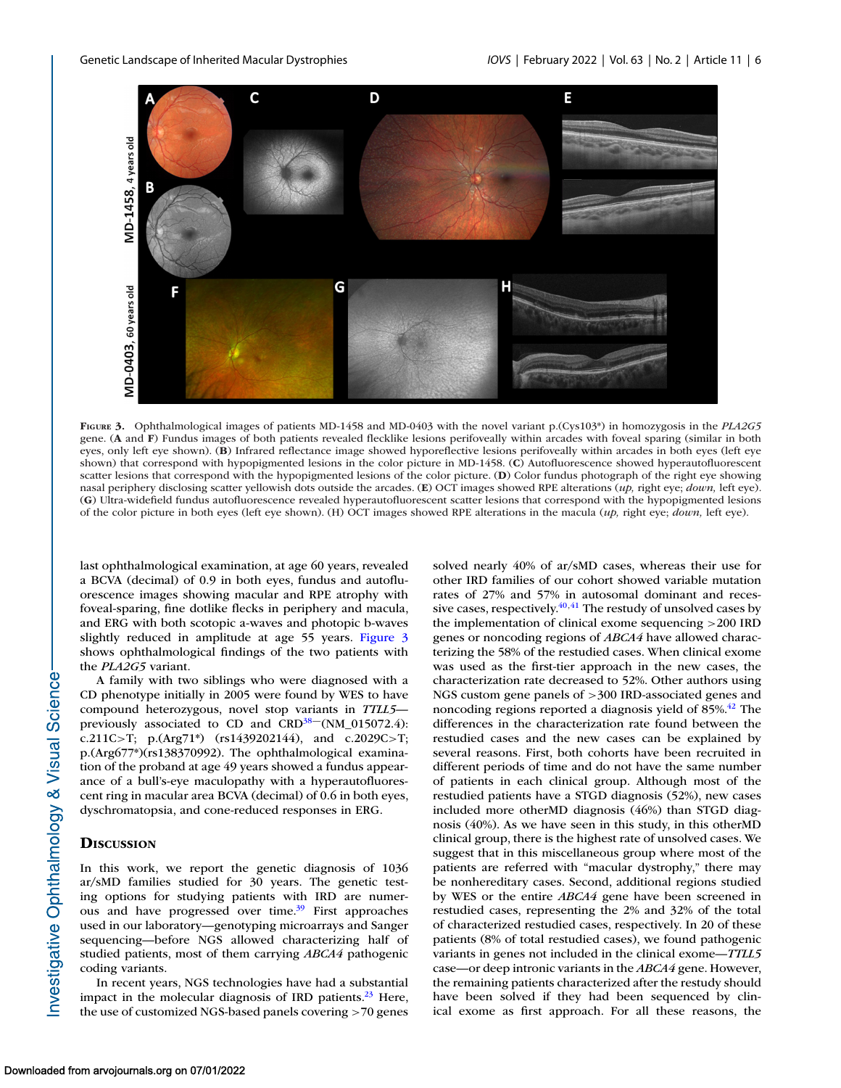

**FIGURE 3.** Ophthalmological images of patients MD-1458 and MD-0403 with the novel variant p.(Cys103\*) in homozygosis in the *PLA2G5* gene. (**A** and **F**) Fundus images of both patients revealed flecklike lesions perifoveally within arcades with foveal sparing (similar in both eyes, only left eye shown). (**B**) Infrared reflectance image showed hyporeflective lesions perifoveally within arcades in both eyes (left eye shown) that correspond with hypopigmented lesions in the color picture in MD-1458. (**C**) Autofluorescence showed hyperautofluorescent scatter lesions that correspond with the hypopigmented lesions of the color picture. (**D**) Color fundus photograph of the right eye showing nasal periphery disclosing scatter yellowish dots outside the arcades. (**E**) OCT images showed RPE alterations (*up,* right eye; *down,* left eye). (**G**) Ultra-widefield fundus autofluorescence revealed hyperautofluorescent scatter lesions that correspond with the hypopigmented lesions of the color picture in both eyes (left eye shown). (H) OCT images showed RPE alterations in the macula (*up,* right eye; *down,* left eye).

last ophthalmological examination, at age 60 years, revealed a BCVA (decimal) of 0.9 in both eyes, fundus and autofluorescence images showing macular and RPE atrophy with foveal-sparing, fine dotlike flecks in periphery and macula, and ERG with both scotopic a-waves and photopic b-waves slightly reduced in amplitude at age 55 years. Figure 3 shows ophthalmological findings of the two patients with the *PLA2G5* variant.

A family with two siblings who were diagnosed with a CD phenotype initially in 2005 were found by WES to have compound heterozygous, novel stop variants in *TTLL5* previously associated to CD and  $CRD<sup>38</sup>$  (NM\_015072.4): c.211C>T; p.(Arg71\*) (rs1439202144), and c.2029C>T; p.(Arg677\*)(rs138370992). The ophthalmological examination of the proband at age 49 years showed a fundus appearance of a bull's-eye maculopathy with a hyperautofluorescent ring in macular area BCVA (decimal) of 0.6 in both eyes, dyschromatopsia, and cone-reduced responses in ERG.

## **DISCUSSION**

In this work, we report the genetic diagnosis of 1036 ar/sMD families studied for 30 years. The genetic testing options for studying patients with IRD are numerous and have progressed over time.<sup>39</sup> First approaches used in our laboratory—genotyping microarrays and Sanger sequencing—before NGS allowed characterizing half of studied patients, most of them carrying *ABCA4* pathogenic coding variants.

In recent years, NGS technologies have had a substantial impact in the molecular diagnosis of IRD patients.<sup>23</sup> Here, the use of customized NGS-based panels covering >70 genes

solved nearly 40% of ar/sMD cases, whereas their use for other IRD families of our cohort showed variable mutation rates of 27% and 57% in autosomal dominant and recessive cases, respectively. $40,41$  The restudy of unsolved cases by the implementation of clinical exome sequencing >200 IRD genes or noncoding regions of *ABCA4* have allowed characterizing the 58% of the restudied cases. When clinical exome was used as the first-tier approach in the new cases, the characterization rate decreased to 52%. Other authors using NGS custom gene panels of >300 IRD-associated genes and noncoding regions reported a diagnosis yield of 85%.<sup>42</sup> The differences in the characterization rate found between the restudied cases and the new cases can be explained by several reasons. First, both cohorts have been recruited in different periods of time and do not have the same number of patients in each clinical group. Although most of the restudied patients have a STGD diagnosis (52%), new cases included more otherMD diagnosis (46%) than STGD diagnosis (40%). As we have seen in this study, in this otherMD clinical group, there is the highest rate of unsolved cases. We suggest that in this miscellaneous group where most of the patients are referred with "macular dystrophy," there may be nonhereditary cases. Second, additional regions studied by WES or the entire *ABCA4* gene have been screened in restudied cases, representing the 2% and 32% of the total of characterized restudied cases, respectively. In 20 of these patients (8% of total restudied cases), we found pathogenic variants in genes not included in the clinical exome—*TTLL5* case—or deep intronic variants in the *ABCA4* gene. However, the remaining patients characterized after the restudy should have been solved if they had been sequenced by clinical exome as first approach. For all these reasons, the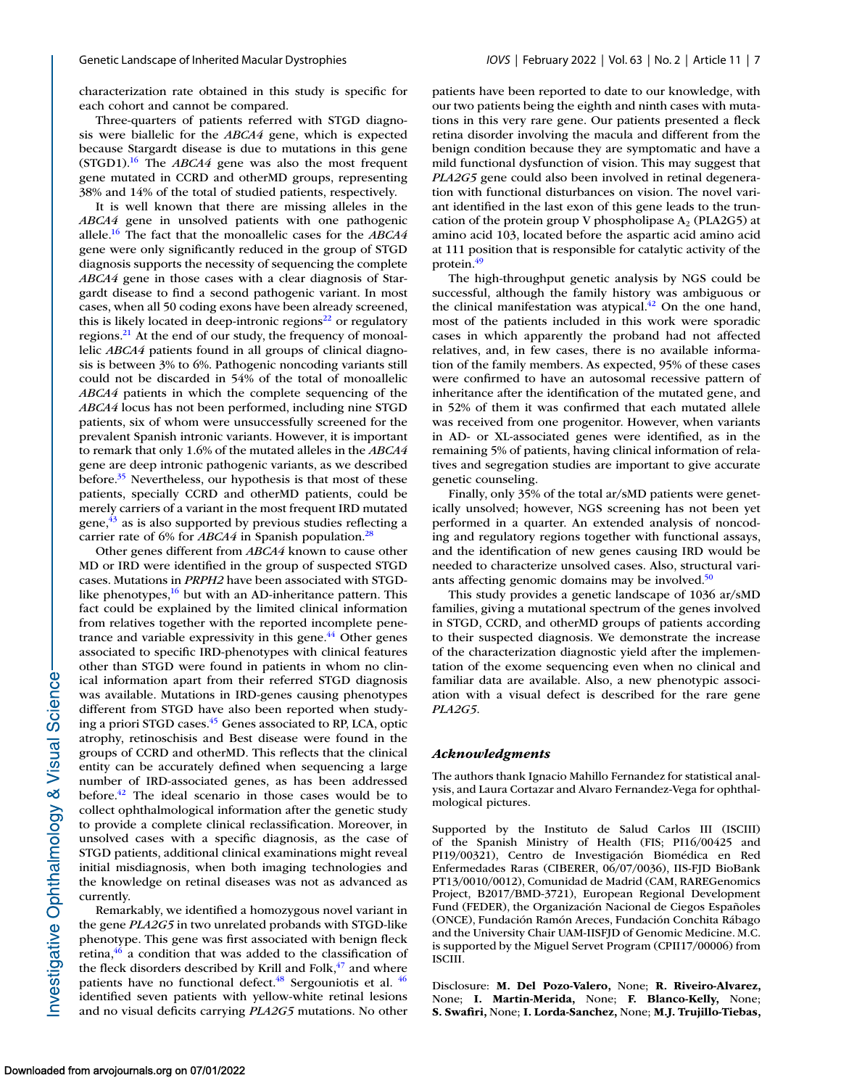characterization rate obtained in this study is specific for each cohort and cannot be compared.

Three-quarters of patients referred with STGD diagnosis were biallelic for the *ABCA4* gene, which is expected because Stargardt disease is due to mutations in this gene (STGD1)[.16](#page-7-0) The *ABCA4* gene was also the most frequent gene mutated in CCRD and otherMD groups, representing 38% and 14% of the total of studied patients, respectively.

It is well known that there are missing alleles in the *ABCA4* gene in unsolved patients with one pathogenic allele[.16](#page-7-0) The fact that the monoallelic cases for the *ABCA4* gene were only significantly reduced in the group of STGD diagnosis supports the necessity of sequencing the complete *ABCA4* gene in those cases with a clear diagnosis of Stargardt disease to find a second pathogenic variant. In most cases, when all 50 coding exons have been already screened, this is likely located in deep-intronic regions $^{22}$  or regulatory regions.<sup>21</sup> At the end of our study, the frequency of monoallelic *ABCA4* patients found in all groups of clinical diagnosis is between 3% to 6%. Pathogenic noncoding variants still could not be discarded in 54% of the total of monoallelic *ABCA4* patients in which the complete sequencing of the *ABCA4* locus has not been performed, including nine STGD patients, six of whom were unsuccessfully screened for the prevalent Spanish intronic variants. However, it is important to remark that only 1.6% of the mutated alleles in the *ABCA4* gene are deep intronic pathogenic variants, as we described before. $35$  Nevertheless, our hypothesis is that most of these patients, specially CCRD and otherMD patients, could be merely carriers of a variant in the most frequent IRD mutated gene,<sup>43</sup> as is also supported by previous studies reflecting a carrier rate of 6% for *ABCA4* in Spanish population.<sup>28</sup>

Other genes different from *ABCA4* known to cause other MD or IRD were identified in the group of suspected STGD cases. Mutations in *PRPH2* have been associated with STGDlike phenotypes, $16$  but with an AD-inheritance pattern. This fact could be explained by the limited clinical information from relatives together with the reported incomplete penetrance and variable expressivity in this gene.<sup>44</sup> Other genes associated to specific IRD-phenotypes with clinical features other than STGD were found in patients in whom no clinical information apart from their referred STGD diagnosis was available. Mutations in IRD-genes causing phenotypes different from STGD have also been reported when studying a priori STGD cases[.45](#page-8-0) Genes associated to RP, LCA, optic atrophy, retinoschisis and Best disease were found in the groups of CCRD and otherMD. This reflects that the clinical entity can be accurately defined when sequencing a large number of IRD-associated genes, as has been addressed before[.42](#page-8-0) The ideal scenario in those cases would be to collect ophthalmological information after the genetic study to provide a complete clinical reclassification. Moreover, in unsolved cases with a specific diagnosis, as the case of STGD patients, additional clinical examinations might reveal initial misdiagnosis, when both imaging technologies and the knowledge on retinal diseases was not as advanced as currently.

Remarkably, we identified a homozygous novel variant in the gene *PLA2G5* in two unrelated probands with STGD-like phenotype. This gene was first associated with benign fleck retina, $46$  a condition that was added to the classification of the fleck disorders described by Krill and Folk, $47$  and where patients have no functional defect. $48$  Sergouniotis et al.  $46$ identified seven patients with yellow-white retinal lesions and no visual deficits carrying *PLA2G5* mutations. No other patients have been reported to date to our knowledge, with our two patients being the eighth and ninth cases with mutations in this very rare gene. Our patients presented a fleck retina disorder involving the macula and different from the benign condition because they are symptomatic and have a mild functional dysfunction of vision. This may suggest that *PLA2G5* gene could also been involved in retinal degeneration with functional disturbances on vision. The novel variant identified in the last exon of this gene leads to the truncation of the protein group V phospholipase  $A_2$  (PLA2G5) at amino acid 103, located before the aspartic acid amino acid at 111 position that is responsible for catalytic activity of the protein.<sup>49</sup>

The high-throughput genetic analysis by NGS could be successful, although the family history was ambiguous or the clinical manifestation was atypical. $^{42}$  On the one hand, most of the patients included in this work were sporadic cases in which apparently the proband had not affected relatives, and, in few cases, there is no available information of the family members. As expected, 95% of these cases were confirmed to have an autosomal recessive pattern of inheritance after the identification of the mutated gene, and in 52% of them it was confirmed that each mutated allele was received from one progenitor. However, when variants in AD- or XL-associated genes were identified, as in the remaining 5% of patients, having clinical information of relatives and segregation studies are important to give accurate genetic counseling.

Finally, only 35% of the total ar/sMD patients were genetically unsolved; however, NGS screening has not been yet performed in a quarter. An extended analysis of noncoding and regulatory regions together with functional assays, and the identification of new genes causing IRD would be needed to characterize unsolved cases. Also, structural variants affecting genomic domains may be involved. $50$ 

This study provides a genetic landscape of 1036 ar/sMD families, giving a mutational spectrum of the genes involved in STGD, CCRD, and otherMD groups of patients according to their suspected diagnosis. We demonstrate the increase of the characterization diagnostic yield after the implementation of the exome sequencing even when no clinical and familiar data are available. Also, a new phenotypic association with a visual defect is described for the rare gene *PLA2G5*.

## *Acknowledgments*

The authors thank Ignacio Mahillo Fernandez for statistical analysis, and Laura Cortazar and Alvaro Fernandez-Vega for ophthalmological pictures.

Supported by the Instituto de Salud Carlos III (ISCIII) of the Spanish Ministry of Health (FIS; PI16/00425 and PI19/00321), Centro de Investigación Biomédica en Red Enfermedades Raras (CIBERER, 06/07/0036), IIS-FJD BioBank PT13/0010/0012), Comunidad de Madrid (CAM, RAREGenomics Project, B2017/BMD-3721), European Regional Development Fund (FEDER), the Organización Nacional de Ciegos Españoles (ONCE), Fundación Ramón Areces, Fundación Conchita Rábago and the University Chair UAM-IISFJD of Genomic Medicine. M.C. is supported by the Miguel Servet Program (CPII17/00006) from ISCIII.

Disclosure: **M. Del Pozo-Valero,** None; **R. Riveiro-Alvarez,** None; **I. Martin-Merida,** None; **F. Blanco-Kelly,** None; **S. Swafiri,** None; **I. Lorda-Sanchez,** None; **M.J. Trujillo-Tiebas,**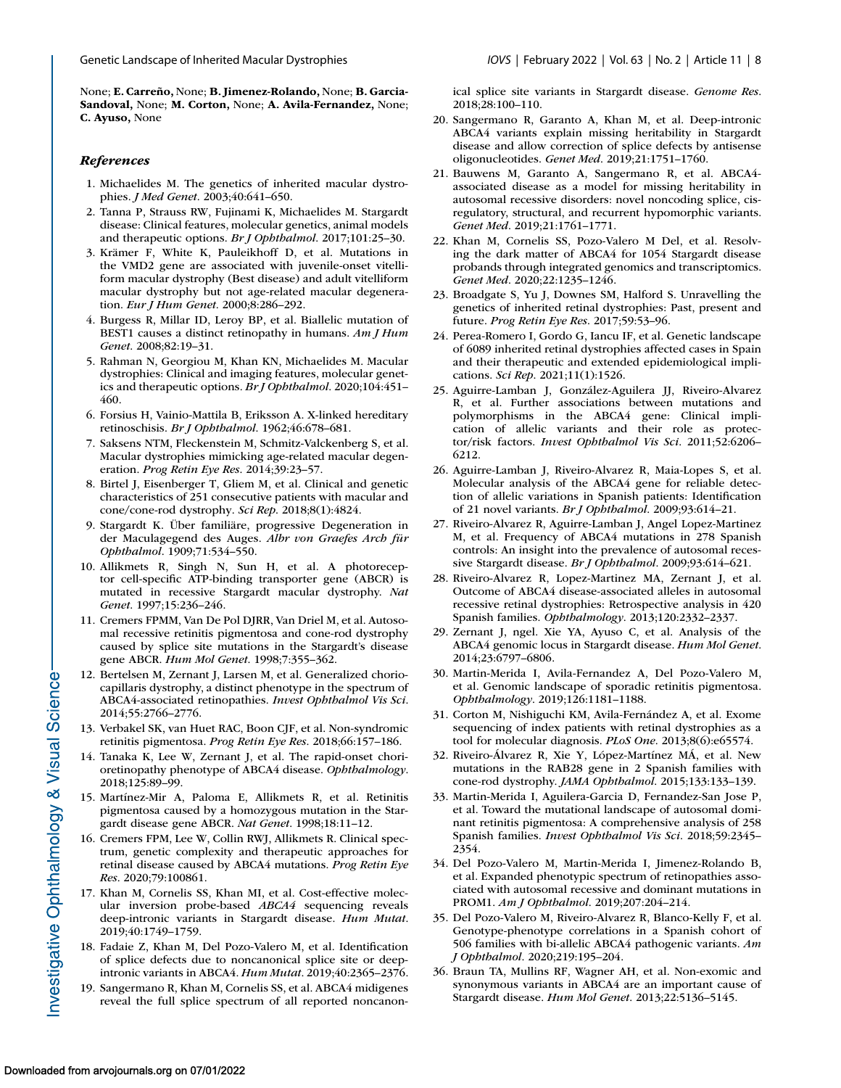<span id="page-7-0"></span>None; **E. Carreño,** None; **B. Jimenez-Rolando,** None; **B. Garcia-Sandoval,** None; **M. Corton,** None; **A. Avila-Fernandez,** None; **C. Ayuso,** None

## *References*

- 1. Michaelides M. The genetics of inherited macular dystrophies. *J Med Genet*. 2003;40:641–650.
- 2. Tanna P, Strauss RW, Fujinami K, Michaelides M. Stargardt disease: Clinical features, molecular genetics, animal models and therapeutic options. *Br J Ophthalmol*. 2017;101:25–30.
- 3. Krämer F, White K, Pauleikhoff D, et al. Mutations in the VMD2 gene are associated with juvenile-onset vitelliform macular dystrophy (Best disease) and adult vitelliform macular dystrophy but not age-related macular degeneration. *Eur J Hum Genet*. 2000;8:286–292.
- 4. Burgess R, Millar ID, Leroy BP, et al. Biallelic mutation of BEST1 causes a distinct retinopathy in humans. *Am J Hum Genet*. 2008;82:19–31.
- 5. Rahman N, Georgiou M, Khan KN, Michaelides M. Macular dystrophies: Clinical and imaging features, molecular genetics and therapeutic options. *Br J Ophthalmol*. 2020;104:451– 460.
- 6. Forsius H, Vainio-Mattila B, Eriksson A. X-linked hereditary retinoschisis. *Br J Ophthalmol*. 1962;46:678–681.
- 7. Saksens NTM, Fleckenstein M, Schmitz-Valckenberg S, et al. Macular dystrophies mimicking age-related macular degeneration. *Prog Retin Eye Res*. 2014;39:23–57.
- 8. Birtel J, Eisenberger T, Gliem M, et al. Clinical and genetic characteristics of 251 consecutive patients with macular and cone/cone-rod dystrophy. *Sci Rep*. 2018;8(1):4824.
- 9. Stargardt K. Über familiäre, progressive Degeneration in der Maculagegend des Auges. *Albr von Graefes Arch für Ophthalmol*. 1909;71:534–550.
- 10. Allikmets R, Singh N, Sun H, et al. A photoreceptor cell-specific ATP-binding transporter gene (ABCR) is mutated in recessive Stargardt macular dystrophy. *Nat Genet*. 1997;15:236–246.
- 11. Cremers FPMM, Van De Pol DJRR, Van Driel M, et al. Autosomal recessive retinitis pigmentosa and cone-rod dystrophy caused by splice site mutations in the Stargardt's disease gene ABCR. *Hum Mol Genet*. 1998;7:355–362.
- 12. Bertelsen M, Zernant J, Larsen M, et al. Generalized choriocapillaris dystrophy, a distinct phenotype in the spectrum of ABCA4-associated retinopathies. *Invest Ophthalmol Vis Sci*. 2014;55:2766–2776.
- 13. Verbakel SK, van Huet RAC, Boon CJF, et al. Non-syndromic retinitis pigmentosa. *Prog Retin Eye Res*. 2018;66:157–186.
- 14. Tanaka K, Lee W, Zernant J, et al. The rapid-onset chorioretinopathy phenotype of ABCA4 disease. *Ophthalmology*. 2018;125:89–99.
- 15. Martínez-Mir A, Paloma E, Allikmets R, et al. Retinitis pigmentosa caused by a homozygous mutation in the Stargardt disease gene ABCR. *Nat Genet*. 1998;18:11–12.
- 16. Cremers FPM, Lee W, Collin RWJ, Allikmets R. Clinical spectrum, genetic complexity and therapeutic approaches for retinal disease caused by ABCA4 mutations. *Prog Retin Eye Res*. 2020;79:100861.
- 17. Khan M, Cornelis SS, Khan MI, et al. Cost-effective molecular inversion probe-based *ABCA4* sequencing reveals deep-intronic variants in Stargardt disease. *Hum Mutat*. 2019;40:1749–1759.
- 18. Fadaie Z, Khan M, Del Pozo-Valero M, et al. Identification of splice defects due to noncanonical splice site or deepintronic variants in ABCA4. *Hum Mutat*. 2019;40:2365–2376.
- 19. Sangermano R, Khan M, Cornelis SS, et al. ABCA4 midigenes reveal the full splice spectrum of all reported noncanon-

ical splice site variants in Stargardt disease. *Genome Res*. 2018;28:100–110.

- 20. Sangermano R, Garanto A, Khan M, et al. Deep-intronic ABCA4 variants explain missing heritability in Stargardt disease and allow correction of splice defects by antisense oligonucleotides. *Genet Med*. 2019;21:1751–1760.
- 21. Bauwens M, Garanto A, Sangermano R, et al. ABCA4 associated disease as a model for missing heritability in autosomal recessive disorders: novel noncoding splice, cisregulatory, structural, and recurrent hypomorphic variants. *Genet Med*. 2019;21:1761–1771.
- 22. Khan M, Cornelis SS, Pozo-Valero M Del, et al. Resolving the dark matter of ABCA4 for 1054 Stargardt disease probands through integrated genomics and transcriptomics. *Genet Med*. 2020;22:1235–1246.
- 23. Broadgate S, Yu J, Downes SM, Halford S. Unravelling the genetics of inherited retinal dystrophies: Past, present and future. *Prog Retin Eye Res*. 2017;59:53–96.
- 24. Perea-Romero I, Gordo G, Iancu IF, et al. Genetic landscape of 6089 inherited retinal dystrophies affected cases in Spain and their therapeutic and extended epidemiological implications. *Sci Rep*. 2021;11(1):1526.
- 25. Aguirre-Lamban J, González-Aguilera JJ, Riveiro-Alvarez R, et al. Further associations between mutations and polymorphisms in the ABCA4 gene: Clinical implication of allelic variants and their role as protector/risk factors. *Invest Ophthalmol Vis Sci*. 2011;52:6206– 6212.
- 26. Aguirre-Lamban J, Riveiro-Alvarez R, Maia-Lopes S, et al. Molecular analysis of the ABCA4 gene for reliable detection of allelic variations in Spanish patients: Identification of 21 novel variants. *Br J Ophthalmol*. 2009;93:614–21.
- 27. Riveiro-Alvarez R, Aguirre-Lamban J, Angel Lopez-Martinez M, et al. Frequency of ABCA4 mutations in 278 Spanish controls: An insight into the prevalence of autosomal recessive Stargardt disease. *Br J Ophthalmol*. 2009;93:614–621.
- 28. Riveiro-Alvarez R, Lopez-Martinez MA, Zernant J, et al. Outcome of ABCA4 disease-associated alleles in autosomal recessive retinal dystrophies: Retrospective analysis in 420 Spanish families. *Ophthalmology*. 2013;120:2332–2337.
- 29. Zernant J, ngel. Xie YA, Ayuso C, et al. Analysis of the ABCA4 genomic locus in Stargardt disease. *Hum Mol Genet*. 2014;23:6797–6806.
- 30. Martin-Merida I, Avila-Fernandez A, Del Pozo-Valero M, et al. Genomic landscape of sporadic retinitis pigmentosa. *Ophthalmology*. 2019;126:1181–1188.
- 31. Corton M, Nishiguchi KM, Avila-Fernández A, et al. Exome sequencing of index patients with retinal dystrophies as a tool for molecular diagnosis. *PLoS One*. 2013;8(6):e65574.
- 32. Riveiro-Álvarez R, Xie Y, López-Martínez MÁ, et al. New mutations in the RAB28 gene in 2 Spanish families with cone-rod dystrophy. *JAMA Ophthalmol*. 2015;133:133–139.
- 33. Martin-Merida I, Aguilera-Garcia D, Fernandez-San Jose P, et al. Toward the mutational landscape of autosomal dominant retinitis pigmentosa: A comprehensive analysis of 258 Spanish families. *Invest Ophthalmol Vis Sci*. 2018;59:2345– 2354.
- 34. Del Pozo-Valero M, Martin-Merida I, Jimenez-Rolando B, et al. Expanded phenotypic spectrum of retinopathies associated with autosomal recessive and dominant mutations in PROM1. *Am J Ophthalmol*. 2019;207:204–214.
- 35. Del Pozo-Valero M, Riveiro-Alvarez R, Blanco-Kelly F, et al. Genotype-phenotype correlations in a Spanish cohort of 506 families with bi-allelic ABCA4 pathogenic variants. *Am J Ophthalmol*. 2020;219:195–204.
- 36. Braun TA, Mullins RF, Wagner AH, et al. Non-exomic and synonymous variants in ABCA4 are an important cause of Stargardt disease. *Hum Mol Genet*. 2013;22:5136–5145.